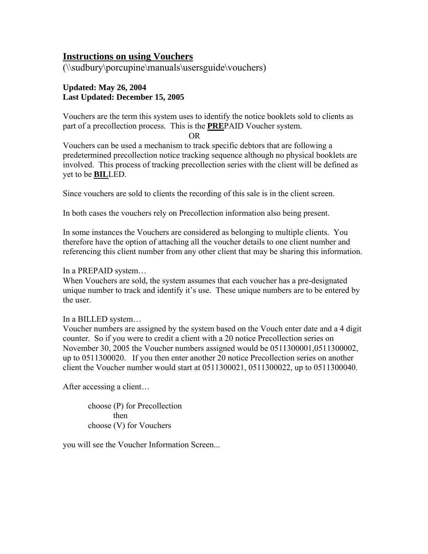## **Instructions on using Vouchers**

(\\sudbury\porcupine\manuals\usersguide\vouchers)

## **Updated: May 26, 2004 Last Updated: December 15, 2005**

Vouchers are the term this system uses to identify the notice booklets sold to clients as part of a precollection process. This is the **PRE**PAID Voucher system.

OR

Vouchers can be used a mechanism to track specific debtors that are following a predetermined precollection notice tracking sequence although no physical booklets are involved. This process of tracking precollection series with the client will be defined as yet to be **BIL**LED.

Since vouchers are sold to clients the recording of this sale is in the client screen.

In both cases the vouchers rely on Precollection information also being present.

In some instances the Vouchers are considered as belonging to multiple clients. You therefore have the option of attaching all the voucher details to one client number and referencing this client number from any other client that may be sharing this information.

In a PREPAID system…

When Vouchers are sold, the system assumes that each voucher has a pre-designated unique number to track and identify it's use. These unique numbers are to be entered by the user.

### In a BILLED system…

Voucher numbers are assigned by the system based on the Vouch enter date and a 4 digit counter. So if you were to credit a client with a 20 notice Precollection series on November 30, 2005 the Voucher numbers assigned would be 0511300001,0511300002, up to 0511300020. If you then enter another 20 notice Precollection series on another client the Voucher number would start at 0511300021, 0511300022, up to 0511300040.

After accessing a client…

choose (P) for Precollection then choose (V) for Vouchers

you will see the Voucher Information Screen...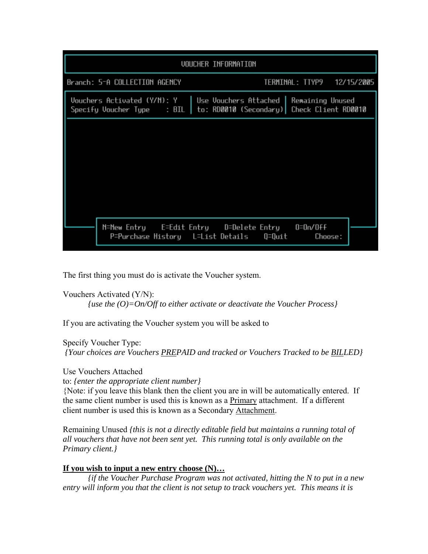|                                                           | VOUCHER INFORMATION                                                                       |
|-----------------------------------------------------------|-------------------------------------------------------------------------------------------|
| Branch: 5-A COLLECTION AGENCY                             | TERMINAL: TTYP9 12/15/2005                                                                |
| Vouchers Activated (Y/N): Y<br>Specify Voucher Type : BIL | Use Vouchers Attached  <br>Remaining Unused<br>to: RD0010 (Secondary) Check Client RD0010 |
|                                                           |                                                                                           |
|                                                           |                                                                                           |
|                                                           |                                                                                           |
|                                                           |                                                                                           |
|                                                           | N=New Entry      E=Edit Entry      D=Delete Entry      O=On/Off                           |
| P=Purchase History   L=List Details                       | Q=Quit<br>Choose:                                                                         |

The first thing you must do is activate the Voucher system.

Vouchers Activated (Y/N): *{use the (O)=On/Off to either activate or deactivate the Voucher Process}* 

If you are activating the Voucher system you will be asked to

Specify Voucher Type:

 *{Your choices are Vouchers PREPAID and tracked or Vouchers Tracked to be BILLED}*

Use Vouchers Attached

to: *{enter the appropriate client number}*

{Note: if you leave this blank then the client you are in will be automatically entered. If the same client number is used this is known as a Primary attachment. If a different client number is used this is known as a Secondary Attachment.

Remaining Unused *{this is not a directly editable field but maintains a running total of all vouchers that have not been sent yet. This running total is only available on the Primary client.}* 

## **If you wish to input a new entry choose (N)…**

*{if the Voucher Purchase Program was not activated, hitting the N to put in a new entry will inform you that the client is not setup to track vouchers yet. This means it is*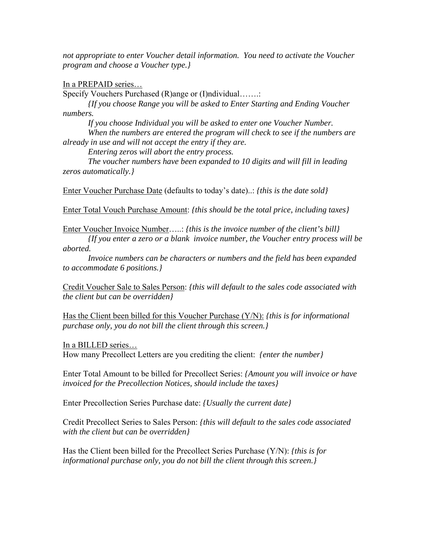*not appropriate to enter Voucher detail information. You need to activate the Voucher program and choose a Voucher type.}* 

In a PREPAID series…

Specify Vouchers Purchased (R)ange or (I)ndividual…….

*{If you choose Range you will be asked to Enter Starting and Ending Voucher numbers.* 

*If you choose Individual you will be asked to enter one Voucher Number. When the numbers are entered the program will check to see if the numbers are already in use and will not accept the entry if they are.* 

*Entering zeros will abort the entry process.*

*The voucher numbers have been expanded to 10 digits and will fill in leading zeros automatically.}* 

Enter Voucher Purchase Date (defaults to today's date)..: *{this is the date sold}*

Enter Total Vouch Purchase Amount: *{this should be the total price, including taxes}*

Enter Voucher Invoice Number…..: *{this is the invoice number of the client's bill}*

*{If you enter a zero or a blank invoice number, the Voucher entry process will be aborted.* 

*Invoice numbers can be characters or numbers and the field has been expanded to accommodate 6 positions.}* 

Credit Voucher Sale to Sales Person: *{this will default to the sales code associated with the client but can be overridden}*

Has the Client been billed for this Voucher Purchase (Y/N): *{this is for informational purchase only, you do not bill the client through this screen.}* 

In a BILLED series… How many Precollect Letters are you crediting the client: *{enter the number}*

Enter Total Amount to be billed for Precollect Series: *{Amount you will invoice or have invoiced for the Precollection Notices, should include the taxes}* 

Enter Precollection Series Purchase date: *{Usually the current date}*

Credit Precollect Series to Sales Person: *{this will default to the sales code associated with the client but can be overridden}*

Has the Client been billed for the Precollect Series Purchase (Y/N): *{this is for informational purchase only, you do not bill the client through this screen.}*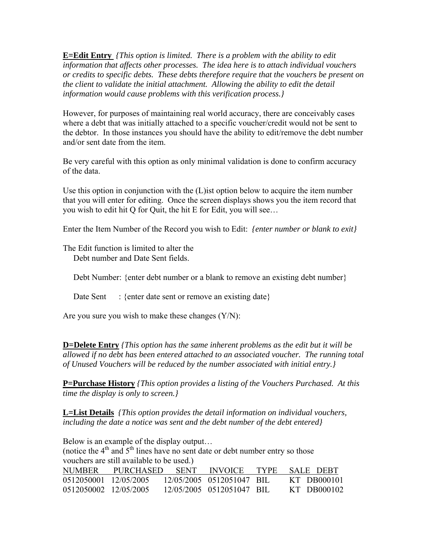**E=Edit Entry** *{This option is limited. There is a problem with the ability to edit information that affects other processes. The idea here is to attach individual vouchers or credits to specific debts. These debts therefore require that the vouchers be present on the client to validate the initial attachment. Allowing the ability to edit the detail information would cause problems with this verification process.}*

However, for purposes of maintaining real world accuracy, there are conceivably cases where a debt that was initially attached to a specific voucher/credit would not be sent to the debtor. In those instances you should have the ability to edit/remove the debt number and/or sent date from the item.

Be very careful with this option as only minimal validation is done to confirm accuracy of the data.

Use this option in conjunction with the (L)ist option below to acquire the item number that you will enter for editing. Once the screen displays shows you the item record that you wish to edit hit Q for Quit, the hit E for Edit, you will see…

Enter the Item Number of the Record you wish to Edit: *{enter number or blank to exit}*

The Edit function is limited to alter the Debt number and Date Sent fields.

Debt Number: {enter debt number or a blank to remove an existing debt number}

Date Sent : {enter date sent or remove an existing date}

Are you sure you wish to make these changes  $(Y/N)$ :

**D=Delete Entry** *{This option has the same inherent problems as the edit but it will be allowed if no debt has been entered attached to an associated voucher. The running total of Unused Vouchers will be reduced by the number associated with initial entry.}*

**P=Purchase History** *{This option provides a listing of the Vouchers Purchased. At this time the display is only to screen.}* 

**L=List Details** *{This option provides the detail information on individual vouchers, including the date a notice was sent and the debt number of the debt entered}*

Below is an example of the display output… (notice the  $4<sup>th</sup>$  and  $5<sup>th</sup>$  lines have no sent date or debt number entry so those vouchers are still available to be used.) NUMBER PURCHASED SENT INVOICE TYPE SALE DEBT 0512050001 12/05/2005 12/05/2005 0512051047 BIL KT DB000101 0512050002 12/05/2005 12/05/2005 0512051047 BIL KT DB000102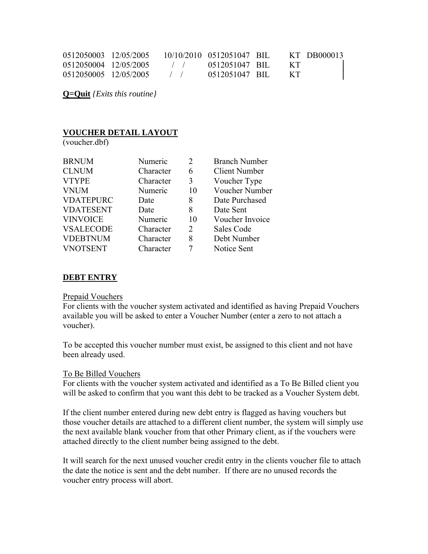| 0512050003 12/05/2005 |                                                | 10/10/2010 0512051047 BIL |       | KT DB000013 |
|-----------------------|------------------------------------------------|---------------------------|-------|-------------|
| 0512050004 12/05/2005 | $\sqrt{2}$                                     | 0512051047 BIL            | - KT  |             |
| 0512050005 12/05/2005 | $\left  \begin{array}{cc} \end{array} \right $ | 0512051047 BIL            | - K T |             |

**Q=Quit** *{Exits this routine}* 

## **VOUCHER DETAIL LAYOUT**

(voucher.dbf)

| <b>BRNUM</b>     | Numeric   | 2  | <b>Branch Number</b> |
|------------------|-----------|----|----------------------|
| <b>CLNUM</b>     | Character | 6  | <b>Client Number</b> |
| <b>VTYPE</b>     | Character | 3  | Voucher Type         |
| <b>VNUM</b>      | Numeric   | 10 | Voucher Number       |
| <b>VDATEPURC</b> | Date      | 8  | Date Purchased       |
| <b>VDATESENT</b> | Date      | 8  | Date Sent            |
| <b>VINVOICE</b>  | Numeric   | 10 | Voucher Invoice      |
| <b>VSALECODE</b> | Character | 2  | Sales Code           |
| <b>VDEBTNUM</b>  | Character | 8  | Debt Number          |
| <b>VNOTSENT</b>  | Character |    | Notice Sent          |

### **DEBT ENTRY**

#### Prepaid Vouchers

For clients with the voucher system activated and identified as having Prepaid Vouchers available you will be asked to enter a Voucher Number (enter a zero to not attach a voucher).

To be accepted this voucher number must exist, be assigned to this client and not have been already used.

#### To Be Billed Vouchers

For clients with the voucher system activated and identified as a To Be Billed client you will be asked to confirm that you want this debt to be tracked as a Voucher System debt.

If the client number entered during new debt entry is flagged as having vouchers but those voucher details are attached to a different client number, the system will simply use the next available blank voucher from that other Primary client, as if the vouchers were attached directly to the client number being assigned to the debt.

It will search for the next unused voucher credit entry in the clients voucher file to attach the date the notice is sent and the debt number. If there are no unused records the voucher entry process will abort.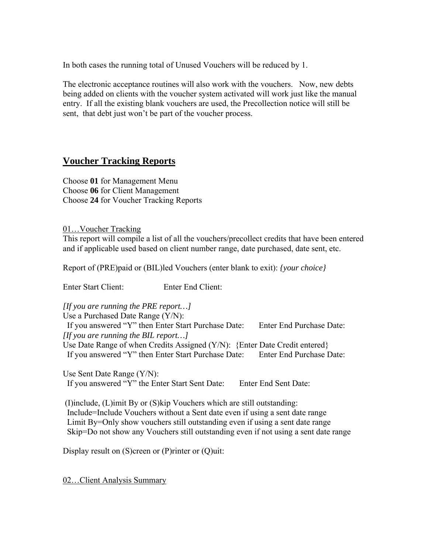In both cases the running total of Unused Vouchers will be reduced by 1.

The electronic acceptance routines will also work with the vouchers. Now, new debts being added on clients with the voucher system activated will work just like the manual entry. If all the existing blank vouchers are used, the Precollection notice will still be sent, that debt just won't be part of the voucher process.

# **Voucher Tracking Reports**

Choose **01** for Management Menu Choose **06** for Client Management Choose **24** for Voucher Tracking Reports

## 01…Voucher Tracking

This report will compile a list of all the vouchers/precollect credits that have been entered and if applicable used based on client number range, date purchased, date sent, etc.

Report of (PRE)paid or (BIL)led Vouchers (enter blank to exit): *{your choice}*

Enter Start Client: Enter End Client:

*[If you are running the PRE report…]* 

Use a Purchased Date Range (Y/N):

 If you answered "Y" then Enter Start Purchase Date: Enter End Purchase Date: *[If you are running the BIL report…]* 

Use Date Range of when Credits Assigned (Y/N): {Enter Date Credit entered} If you answered "Y" then Enter Start Purchase Date: Enter End Purchase Date:

Use Sent Date Range (Y/N): If you answered "Y" the Enter Start Sent Date: Enter End Sent Date:

 (I)include, (L)imit By or (S)kip Vouchers which are still outstanding: Include=Include Vouchers without a Sent date even if using a sent date range Limit By=Only show vouchers still outstanding even if using a sent date range Skip=Do not show any Vouchers still outstanding even if not using a sent date range

Display result on (S)creen or (P)rinter or (Q)uit:

02…Client Analysis Summary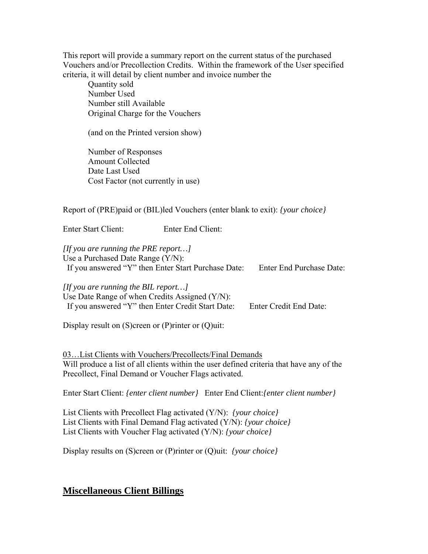This report will provide a summary report on the current status of the purchased Vouchers and/or Precollection Credits. Within the framework of the User specified criteria, it will detail by client number and invoice number the

 Quantity sold Number Used Number still Available Original Charge for the Vouchers

(and on the Printed version show)

 Number of Responses Amount Collected Date Last Used Cost Factor (not currently in use)

Report of (PRE)paid or (BIL)led Vouchers (enter blank to exit): *{your choice}* 

Enter Start Client: Enter End Client:

*[If you are running the PRE report…]*  Use a Purchased Date Range (Y/N): If you answered "Y" then Enter Start Purchase Date: Enter End Purchase Date:

*[If you are running the BIL report…]*  Use Date Range of when Credits Assigned (Y/N): If you answered "Y" then Enter Credit Start Date: Enter Credit End Date:

Display result on (S)creen or (P)rinter or (Q)uit:

03…List Clients with Vouchers/Precollects/Final Demands Will produce a list of all clients within the user defined criteria that have any of the Precollect, Final Demand or Voucher Flags activated.

Enter Start Client: *{enter client number}* Enter End Client:*{enter client number}*

List Clients with Precollect Flag activated (Y/N): *{your choice}* List Clients with Final Demand Flag activated (Y/N): *{your choice}* List Clients with Voucher Flag activated (Y/N): *{your choice}*

Display results on (S)creen or (P)rinter or (Q)uit: *{your choice}*

## **Miscellaneous Client Billings**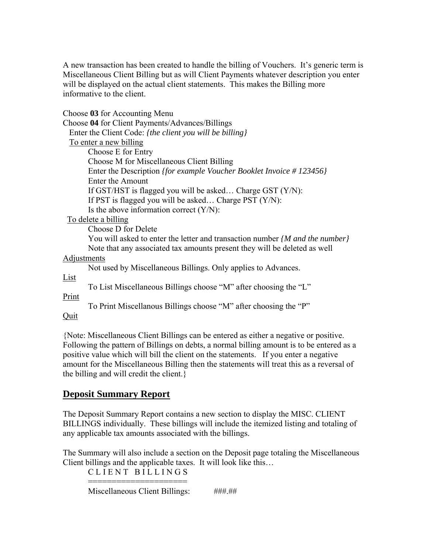A new transaction has been created to handle the billing of Vouchers. It's generic term is Miscellaneous Client Billing but as will Client Payments whatever description you enter will be displayed on the actual client statements. This makes the Billing more informative to the client.

Choose **03** for Accounting Menu

Choose **04** for Client Payments/Advances/Billings Enter the Client Code: *{the client you will be billing}* To enter a new billing Choose E for Entry Choose M for Miscellaneous Client Billing Enter the Description *{for example Voucher Booklet Invoice # 123456}* Enter the Amount If GST/HST is flagged you will be asked… Charge GST (Y/N): If PST is flagged you will be asked… Charge PST (Y/N): Is the above information correct (Y/N): To delete a billing Choose D for Delete You will asked to enter the letter and transaction number *{M and the number}*

Note that any associated tax amounts present they will be deleted as well

## Adjustments

Not used by Miscellaneous Billings. Only applies to Advances.

List

To List Miscellaneous Billings choose "M" after choosing the "L"

Print

To Print Miscellanous Billings choose "M" after choosing the "P"

**Ouit** 

{Note: Miscellaneous Client Billings can be entered as either a negative or positive. Following the pattern of Billings on debts, a normal billing amount is to be entered as a positive value which will bill the client on the statements. If you enter a negative amount for the Miscellaneous Billing then the statements will treat this as a reversal of the billing and will credit the client.}

# **Deposit Summary Report**

The Deposit Summary Report contains a new section to display the MISC. CLIENT BILLINGS individually. These billings will include the itemized listing and totaling of any applicable tax amounts associated with the billings.

The Summary will also include a section on the Deposit page totaling the Miscellaneous Client billings and the applicable taxes. It will look like this…

CLIENT BILLINGS =====================

Miscellaneous Client Billings: ###.##